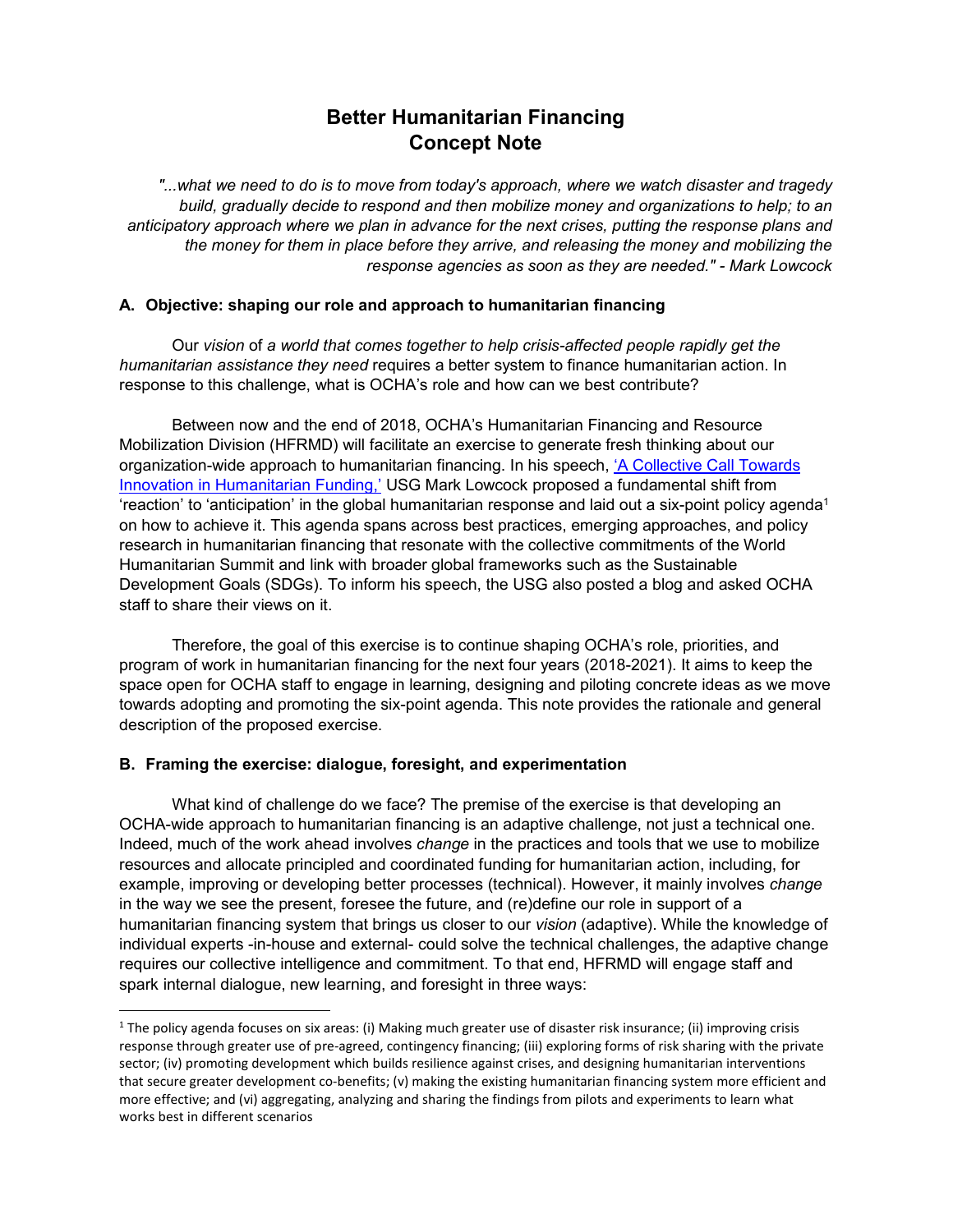# **Better Humanitarian Financing Concept Note**

*"...what we need to do is to move from today's approach, where we watch disaster and tragedy build, gradually decide to respond and then mobilize money and organizations to help; to an anticipatory approach where we plan in advance for the next crises, putting the response plans and the money for them in place before they arrive, and releasing the money and mobilizing the response agencies as soon as they are needed." - Mark Lowcock* 

### **A. Objective: shaping our role and approach to humanitarian financing**

Our *vision* of *a world that comes together to help crisis-affected people rapidly get the humanitarian assistance they need* requires a better system to finance humanitarian action. In response to this challenge, what is OCHA's role and how can we best contribute?

Between now and the end of 2018, OCHA's Humanitarian Financing and Resource Mobilization Division (HFRMD) will facilitate an exercise to generate fresh thinking about our organization-wide approach to humanitarian financing. In his speech, 'A Collective Call Towards Innovation in Humanitarian Funding,' USG Mark Lowcock proposed a fundamental shift from 'reaction' to 'anticipation' in the global humanitarian response and laid out a six-point policy agenda 1 on how to achieve it. This agenda spans across best practices, emerging approaches, and policy research in humanitarian financing that resonate with the collective commitments of the World Humanitarian Summit and link with broader global frameworks such as the Sustainable Development Goals (SDGs). To inform his speech, the USG also posted a blog and asked OCHA staff to share their views on it.

Therefore, the goal of this exercise is to continue shaping OCHA's role, priorities, and program of work in humanitarian financing for the next four years (2018-2021). It aims to keep the space open for OCHA staff to engage in learning, designing and piloting concrete ideas as we move towards adopting and promoting the six-point agenda. This note provides the rationale and general description of the proposed exercise.

## **B. Framing the exercise: dialogue, foresight, and experimentation**

l

What kind of challenge do we face? The premise of the exercise is that developing an OCHA-wide approach to humanitarian financing is an adaptive challenge, not just a technical one. Indeed, much of the work ahead involves *change* in the practices and tools that we use to mobilize resources and allocate principled and coordinated funding for humanitarian action, including, for example, improving or developing better processes (technical). However, it mainly involves *change* in the way we see the present, foresee the future, and (re)define our role in support of a humanitarian financing system that brings us closer to our *vision* (adaptive). While the knowledge of individual experts -in-house and external- could solve the technical challenges, the adaptive change requires our collective intelligence and commitment. To that end, HFRMD will engage staff and spark internal dialogue, new learning, and foresight in three ways:

<sup>&</sup>lt;sup>1</sup> The policy agenda focuses on six areas: (i) Making much greater use of disaster risk insurance; (ii) improving crisis response through greater use of pre-agreed, contingency financing; (iii) exploring forms of risk sharing with the private sector; (iv) promoting development which builds resilience against crises, and designing humanitarian interventions that secure greater development co-benefits; (v) making the existing humanitarian financing system more efficient and more effective; and (vi) aggregating, analyzing and sharing the findings from pilots and experiments to learn what works best in different scenarios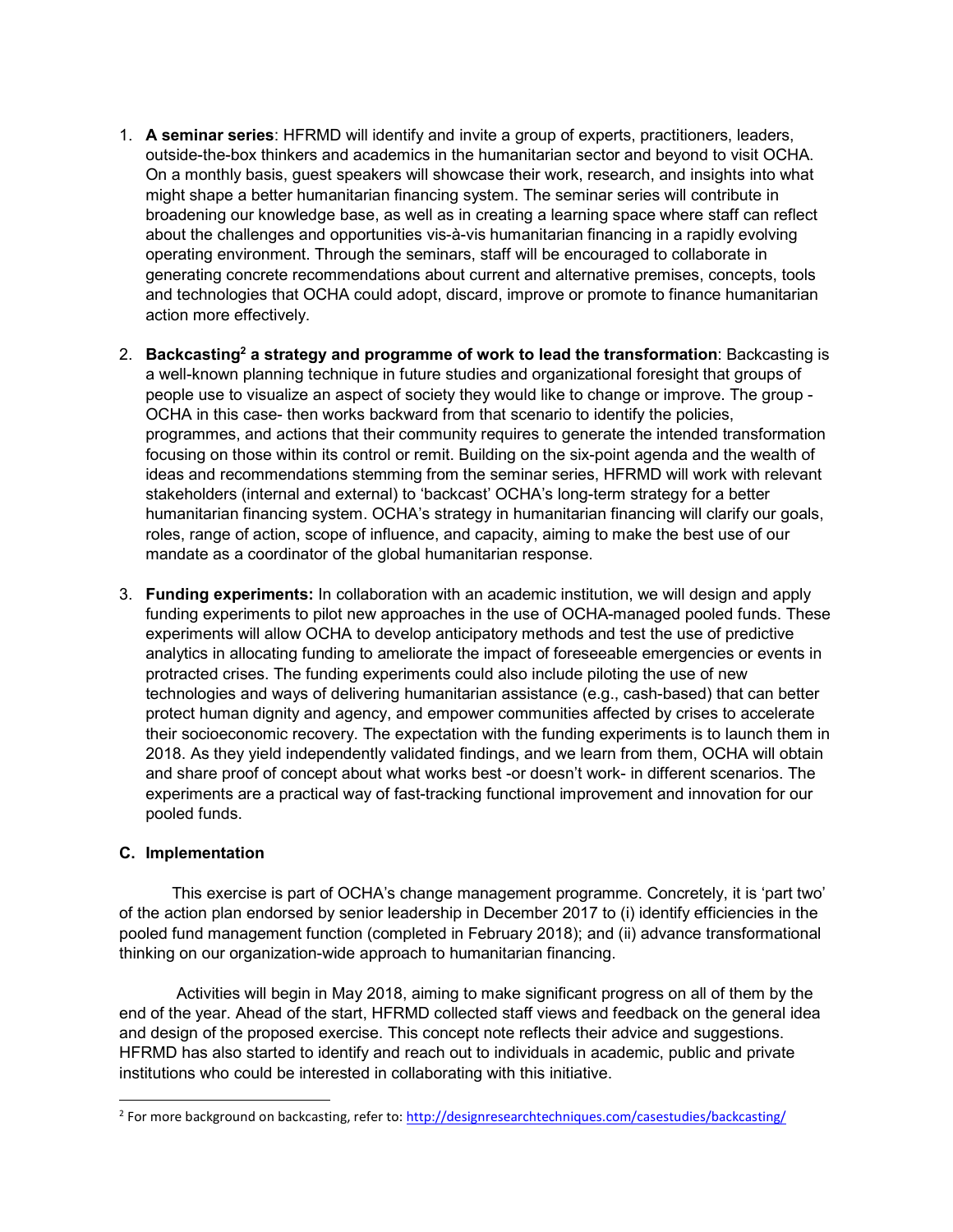- 1. **A seminar series**: HFRMD will identify and invite a group of experts, practitioners, leaders, outside-the-box thinkers and academics in the humanitarian sector and beyond to visit OCHA. On a monthly basis, guest speakers will showcase their work, research, and insights into what might shape a better humanitarian financing system. The seminar series will contribute in broadening our knowledge base, as well as in creating a learning space where staff can reflect about the challenges and opportunities vis-à-vis humanitarian financing in a rapidly evolving operating environment. Through the seminars, staff will be encouraged to collaborate in generating concrete recommendations about current and alternative premises, concepts, tools and technologies that OCHA could adopt, discard, improve or promote to finance humanitarian action more effectively.
- 2. Backcasting<sup>2</sup> a strategy and programme of work to lead the transformation: Backcasting is a well-known planning technique in future studies and organizational foresight that groups of people use to visualize an aspect of society they would like to change or improve. The group - OCHA in this case- then works backward from that scenario to identify the policies, programmes, and actions that their community requires to generate the intended transformation focusing on those within its control or remit. Building on the six-point agenda and the wealth of ideas and recommendations stemming from the seminar series, HFRMD will work with relevant stakeholders (internal and external) to 'backcast' OCHA's long-term strategy for a better humanitarian financing system. OCHA's strategy in humanitarian financing will clarify our goals, roles, range of action, scope of influence, and capacity, aiming to make the best use of our mandate as a coordinator of the global humanitarian response.
- 3. **Funding experiments:** In collaboration with an academic institution, we will design and apply funding experiments to pilot new approaches in the use of OCHA-managed pooled funds. These experiments will allow OCHA to develop anticipatory methods and test the use of predictive analytics in allocating funding to ameliorate the impact of foreseeable emergencies or events in protracted crises. The funding experiments could also include piloting the use of new technologies and ways of delivering humanitarian assistance (e.g., cash-based) that can better protect human dignity and agency, and empower communities affected by crises to accelerate their socioeconomic recovery. The expectation with the funding experiments is to launch them in 2018. As they yield independently validated findings, and we learn from them, OCHA will obtain and share proof of concept about what works best -or doesn't work- in different scenarios. The experiments are a practical way of fast-tracking functional improvement and innovation for our pooled funds.

#### **C. Implementation**

l

This exercise is part of OCHA's change management programme. Concretely, it is 'part two' of the action plan endorsed by senior leadership in December 2017 to (i) identify efficiencies in the pooled fund management function (completed in February 2018); and (ii) advance transformational thinking on our organization-wide approach to humanitarian financing.

 Activities will begin in May 2018, aiming to make significant progress on all of them by the end of the year. Ahead of the start, HFRMD collected staff views and feedback on the general idea and design of the proposed exercise. This concept note reflects their advice and suggestions. HFRMD has also started to identify and reach out to individuals in academic, public and private institutions who could be interested in collaborating with this initiative.

<sup>&</sup>lt;sup>2</sup> For more background on backcasting, refer to: http://designresearchtechniques.com/casestudies/backcasting/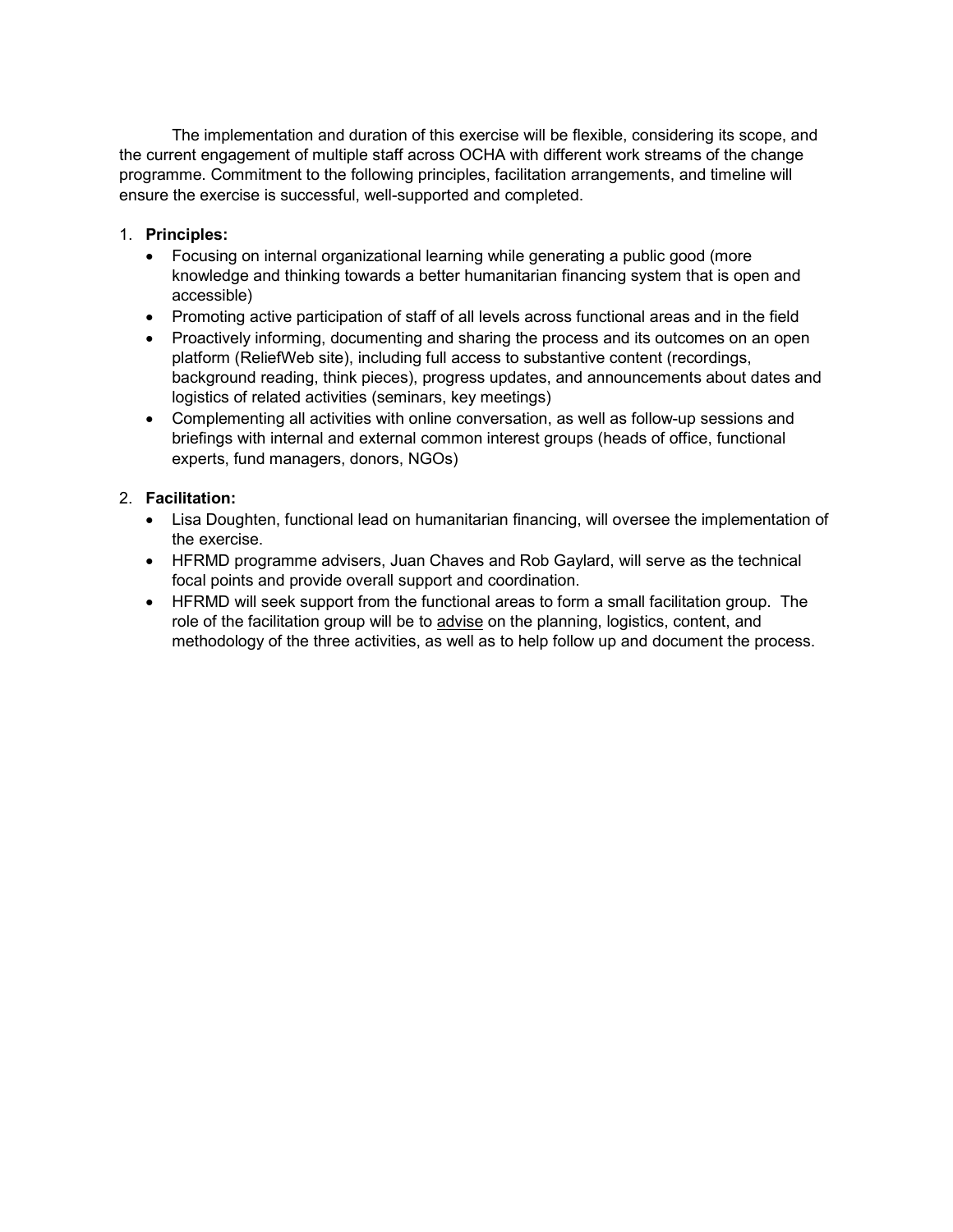The implementation and duration of this exercise will be flexible, considering its scope, and the current engagement of multiple staff across OCHA with different work streams of the change programme. Commitment to the following principles, facilitation arrangements, and timeline will ensure the exercise is successful, well-supported and completed.

# 1. **Principles:**

- Focusing on internal organizational learning while generating a public good (more knowledge and thinking towards a better humanitarian financing system that is open and accessible)
- Promoting active participation of staff of all levels across functional areas and in the field
- Proactively informing, documenting and sharing the process and its outcomes on an open platform (ReliefWeb site), including full access to substantive content (recordings, background reading, think pieces), progress updates, and announcements about dates and logistics of related activities (seminars, key meetings)
- Complementing all activities with online conversation, as well as follow-up sessions and briefings with internal and external common interest groups (heads of office, functional experts, fund managers, donors, NGOs)

# 2. **Facilitation:**

- Lisa Doughten, functional lead on humanitarian financing, will oversee the implementation of the exercise.
- HFRMD programme advisers, Juan Chaves and Rob Gaylard, will serve as the technical focal points and provide overall support and coordination.
- HFRMD will seek support from the functional areas to form a small facilitation group. The role of the facilitation group will be to advise on the planning, logistics, content, and methodology of the three activities, as well as to help follow up and document the process.